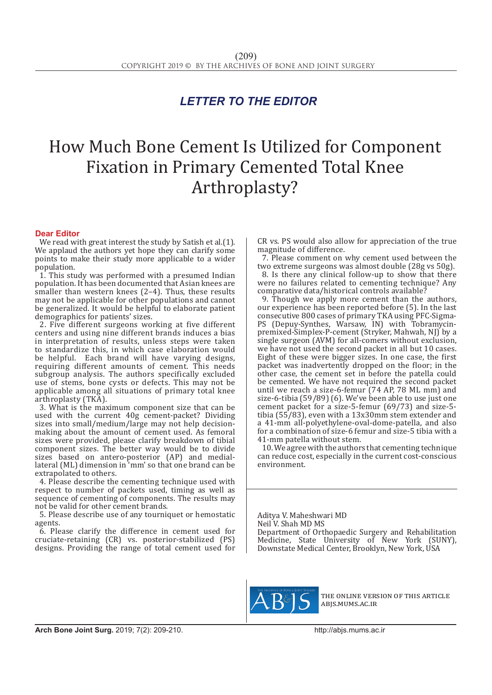## *LETTER TO THE EDITOR*

## How Much Bone Cement Is Utilized for Component Fixation in Primary Cemented Total Knee Arthroplasty?

## **Dear Editor**

We read with great interest the study by Satish et al.(1). We applaud the authors yet hope they can clarify some points to make their study more applicable to a wider population.

1. This study was performed with a presumed Indian population. It has been documented that Asian knees are smaller than western knees (2–4). Thus, these results may not be applicable for other populations and cannot be generalized. It would be helpful to elaborate patient demographics for patients' sizes.

2. Five different surgeons working at five different centers and using nine different brands induces a bias in interpretation of results, unless steps were taken to standardize this, in which case elaboration would be helpful. Each brand will have varying designs, requiring different amounts of cement. This needs subgroup analysis. The authors specifically excluded use of stems, bone cysts or defects. This may not be applicable among all situations of primary total knee arthroplasty (TKA).

3. What is the maximum component size that can be used with the current 40g cement-packet? Dividing sizes into small/medium/large may not help decisionmaking about the amount of cement used. As femoral sizes were provided, please clarify breakdown of tibial component sizes. The better way would be to divide sizes based on antero-posterior (AP) and mediallateral (ML) dimension in 'mm' so that one brand can be extrapolated to others.

4. Please describe the cementing technique used with respect to number of packets used, timing as well as sequence of cementing of components. The results may not be valid for other cement brands.

5. Please describe use of any tourniquet or hemostatic agents.

6. Please clarify the difference in cement used for cruciate-retaining (CR) vs. posterior-stabilized (PS) designs. Providing the range of total cement used for CR vs. PS would also allow for appreciation of the true magnitude of difference.

7. Please comment on why cement used between the two extreme surgeons was almost double (28g vs 50g).

8. Is there any clinical follow-up to show that there were no failures related to cementing technique? Any comparative data/historical controls available?

9. Though we apply more cement than the authors, our experience has been reported before (5). In the last consecutive 800 cases of primary TKA using PFC-Sigma-PS (Depuy-Synthes, Warsaw, IN) with Tobramycinpremixed-Simplex-P-cement (Stryker, Mahwah, NJ) by a single surgeon (AVM) for all-comers without exclusion, we have not used the second packet in all but 10 cases. Eight of these were bigger sizes. In one case, the first packet was inadvertently dropped on the floor; in the other case, the cement set in before the patella could be cemented. We have not required the second packet until we reach a size-6-femur (74 AP, 78 ML mm) and size-6-tibia (59/89) (6). We've been able to use just one cement packet for a size-5-femur (69/73) and size-5 tibia (55/83), even with a 13x30mm stem extender and a 41-mm all-polyethylene-oval-dome-patella, and also for a combination of size-6 femur and size-5 tibia with a 41-mm patella without stem.

10. We agree with the authors that cementing technique can reduce cost, especially in the current cost-conscious environment.

Aditya V. Maheshwari MD Neil V. Shah MD MS Department of Orthopaedic Surgery and Rehabilitation Medicine, State University of New York (SUNY), Downstate Medical Center, Brooklyn, New York, USA



the online version of this article abjs.mums.ac.ir